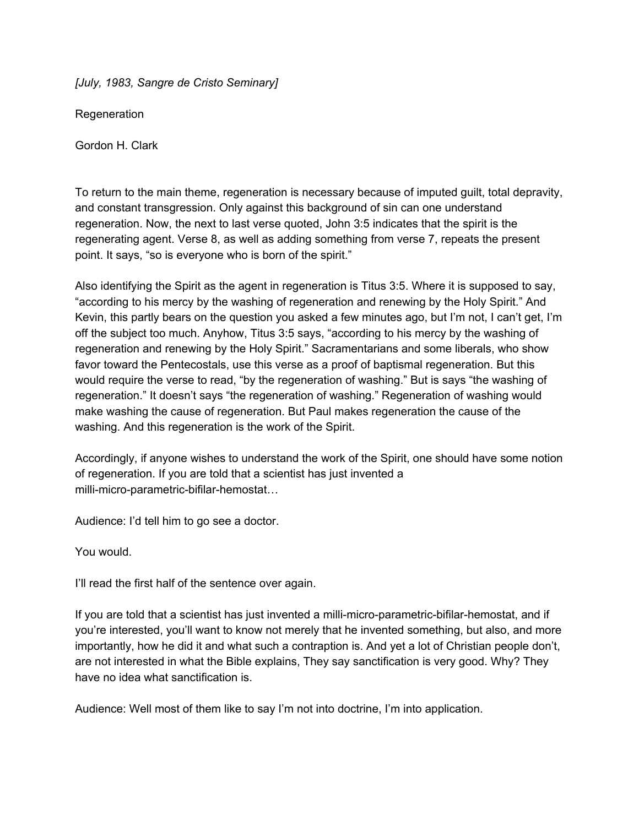*[July, 1983, Sangre de Cristo Seminary]*

**Regeneration** 

Gordon H. Clark

To return to the main theme, regeneration is necessary because of imputed guilt, total depravity, and constant transgression. Only against this background of sin can one understand regeneration. Now, the next to last verse quoted, John 3:5 indicates that the spirit is the regenerating agent. Verse 8, as well as adding something from verse 7, repeats the present point. It says, "so is everyone who is born of the spirit."

Also identifying the Spirit as the agent in regeneration is Titus 3:5. Where it is supposed to say, "according to his mercy by the washing of regeneration and renewing by the Holy Spirit." And Kevin, this partly bears on the question you asked a few minutes ago, but I'm not, I can't get, I'm off the subject too much. Anyhow, Titus 3:5 says, "according to his mercy by the washing of regeneration and renewing by the Holy Spirit." Sacramentarians and some liberals, who show favor toward the Pentecostals, use this verse as a proof of baptismal regeneration. But this would require the verse to read, "by the regeneration of washing." But is says "the washing of regeneration." It doesn't says "the regeneration of washing." Regeneration of washing would make washing the cause of regeneration. But Paul makes regeneration the cause of the washing. And this regeneration is the work of the Spirit.

Accordingly, if anyone wishes to understand the work of the Spirit, one should have some notion of regeneration. If you are told that a scientist has just invented a milli-micro-parametric-bifilar-hemostat...

Audience: I'd tell him to go see a doctor.

You would.

I'll read the first half of the sentence over again.

If you are told that a scientist has just invented a milli-micro-parametric-bifilar-hemostat, and if you're interested, you'll want to know not merely that he invented something, but also, and more importantly, how he did it and what such a contraption is. And yet a lot of Christian people don't, are not interested in what the Bible explains, They say sanctification is very good. Why? They have no idea what sanctification is.

Audience: Well most of them like to say I'm not into doctrine, I'm into application.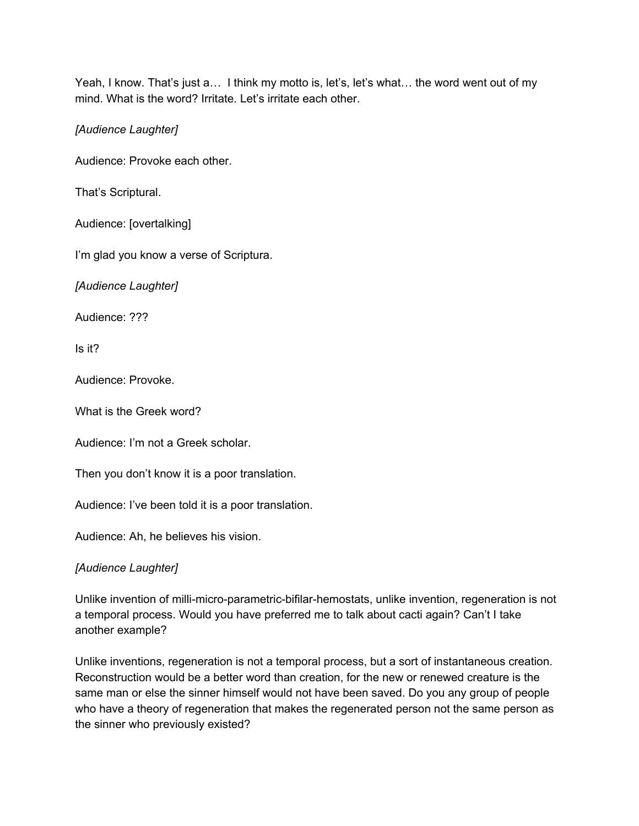Yeah, I know. That's just a... I think my motto is, let's, let's what... the word went out of my mind. What is the word? Irritate. Let's irritate each other.

*[Audience Laughter]*

Audience: Provoke each other.

That's Scriptural.

Audience: [overtalking]

I'm glad you know a verse of Scriptura.

*[Audience Laughter]*

Audience: ???

Is it?

Audience: Provoke.

What is the Greek word?

Audience: I'm not a Greek scholar.

Then you don't know it is a poor translation.

Audience: I've been told it is a poor translation.

Audience: Ah, he believes his vision.

*[Audience Laughter]*

Unlike invention of milli-micro-parametric-bifilar-hemostats, unlike invention, regeneration is not a temporal process. Would you have preferred me to talk about cacti again? Can't I take another example?

Unlike inventions, regeneration is not a temporal process, but a sort of instantaneous creation. Reconstruction would be a better word than creation, for the new or renewed creature is the same man or else the sinner himself would not have been saved. Do you any group of people who have a theory of regeneration that makes the regenerated person not the same person as the sinner who previously existed?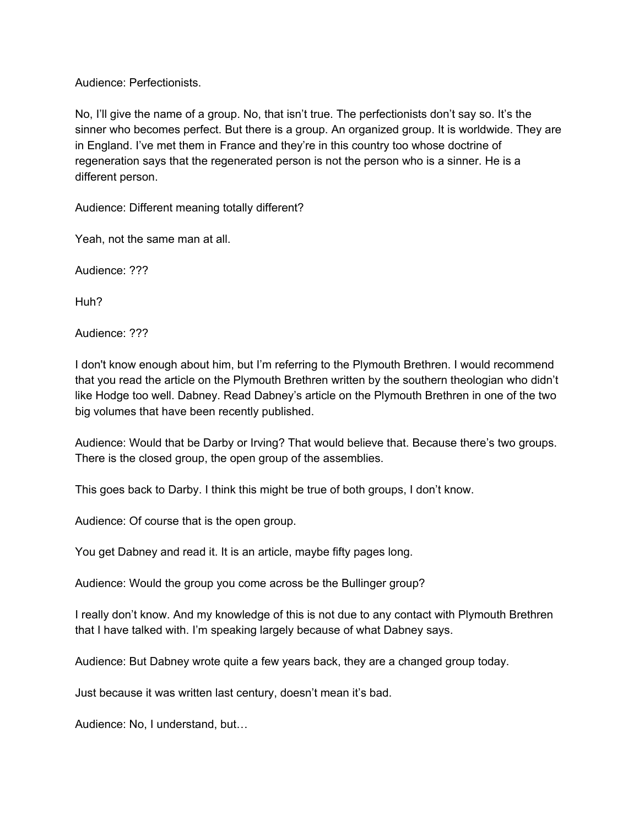Audience: Perfectionists.

No, I'll give the name of a group. No, that isn't true. The perfectionists don't say so. It's the sinner who becomes perfect. But there is a group. An organized group. It is worldwide. They are in England. I've met them in France and they're in this country too whose doctrine of regeneration says that the regenerated person is not the person who is a sinner. He is a different person.

Audience: Different meaning totally different?

Yeah, not the same man at all.

Audience: ???

Huh?

Audience: ???

I don't know enough about him, but I'm referring to the Plymouth Brethren. I would recommend that you read the article on the Plymouth Brethren written by the southern theologian who didn't like Hodge too well. Dabney. Read Dabney's article on the Plymouth Brethren in one of the two big volumes that have been recently published.

Audience: Would that be Darby or Irving? That would believe that. Because there's two groups. There is the closed group, the open group of the assemblies.

This goes back to Darby. I think this might be true of both groups, I don't know.

Audience: Of course that is the open group.

You get Dabney and read it. It is an article, maybe fifty pages long.

Audience: Would the group you come across be the Bullinger group?

I really don't know. And my knowledge of this is not due to any contact with Plymouth Brethren that I have talked with. I'm speaking largely because of what Dabney says.

Audience: But Dabney wrote quite a few years back, they are a changed group today.

Just because it was written last century, doesn't mean it's bad.

Audience: No, I understand, but…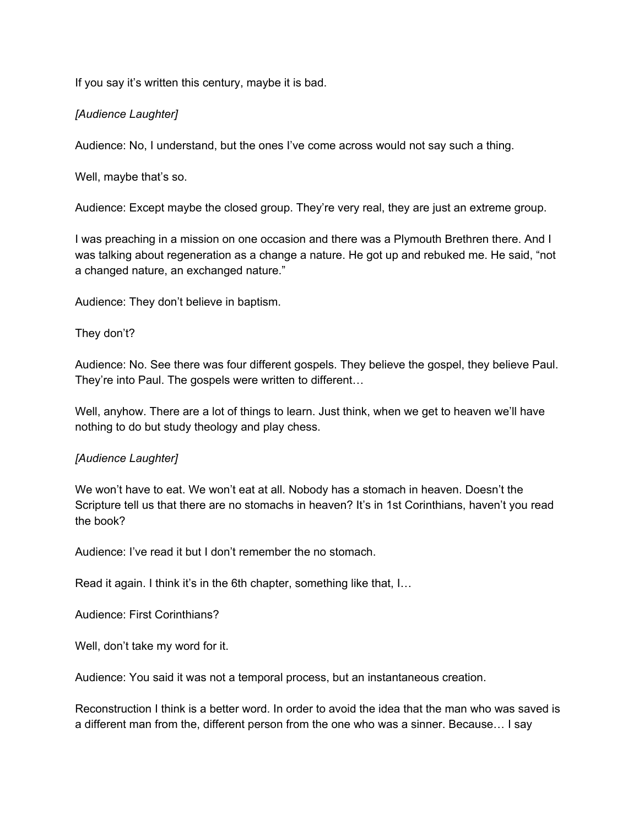If you say it's written this century, maybe it is bad.

# *[Audience Laughter]*

Audience: No, I understand, but the ones I've come across would not say such a thing.

Well, maybe that's so.

Audience: Except maybe the closed group. They're very real, they are just an extreme group.

I was preaching in a mission on one occasion and there was a Plymouth Brethren there. And I was talking about regeneration as a change a nature. He got up and rebuked me. He said, "not a changed nature, an exchanged nature."

Audience: They don't believe in baptism.

## They don't?

Audience: No. See there was four different gospels. They believe the gospel, they believe Paul. They're into Paul. The gospels were written to different…

Well, anyhow. There are a lot of things to learn. Just think, when we get to heaven we'll have nothing to do but study theology and play chess.

## *[Audience Laughter]*

We won't have to eat. We won't eat at all. Nobody has a stomach in heaven. Doesn't the Scripture tell us that there are no stomachs in heaven? It's in 1st Corinthians, haven't you read the book?

Audience: I've read it but I don't remember the no stomach.

Read it again. I think it's in the 6th chapter, something like that, I…

Audience: First Corinthians?

Well, don't take my word for it.

Audience: You said it was not a temporal process, but an instantaneous creation.

Reconstruction I think is a better word. In order to avoid the idea that the man who was saved is a different man from the, different person from the one who was a sinner. Because… I say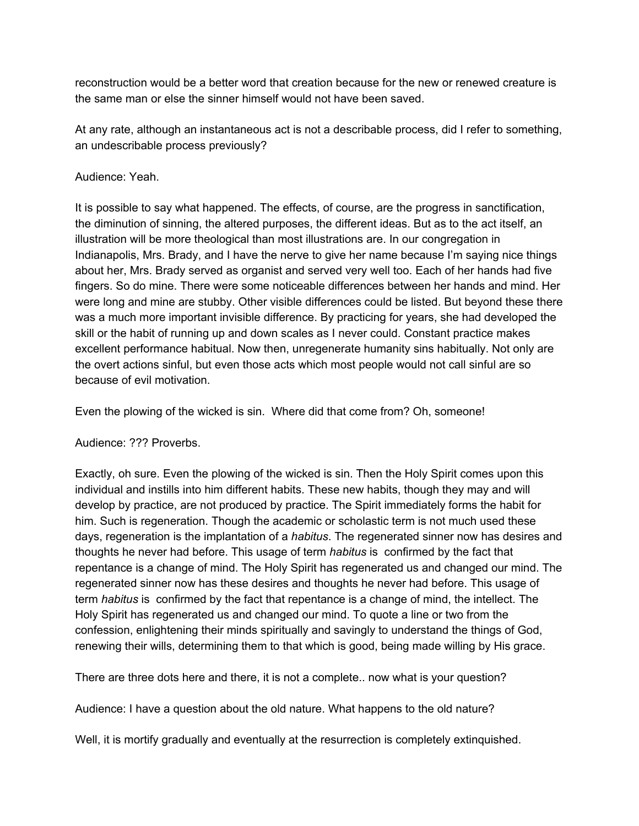reconstruction would be a better word that creation because for the new or renewed creature is the same man or else the sinner himself would not have been saved.

At any rate, although an instantaneous act is not a describable process, did I refer to something, an undescribable process previously?

### Audience: Yeah.

It is possible to say what happened. The effects, of course, are the progress in sanctification, the diminution of sinning, the altered purposes, the different ideas. But as to the act itself, an illustration will be more theological than most illustrations are. In our congregation in Indianapolis, Mrs. Brady, and I have the nerve to give her name because I'm saying nice things about her, Mrs. Brady served as organist and served very well too. Each of her hands had five fingers. So do mine. There were some noticeable differences between her hands and mind. Her were long and mine are stubby. Other visible differences could be listed. But beyond these there was a much more important invisible difference. By practicing for years, she had developed the skill or the habit of running up and down scales as I never could. Constant practice makes excellent performance habitual. Now then, unregenerate humanity sins habitually. Not only are the overt actions sinful, but even those acts which most people would not call sinful are so because of evil motivation.

Even the plowing of the wicked is sin. Where did that come from? Oh, someone!

## Audience: ??? Proverbs.

Exactly, oh sure. Even the plowing of the wicked is sin. Then the Holy Spirit comes upon this individual and instills into him different habits. These new habits, though they may and will develop by practice, are not produced by practice. The Spirit immediately forms the habit for him. Such is regeneration. Though the academic or scholastic term is not much used these days, regeneration is the implantation of a *habitus*. The regenerated sinner now has desires and thoughts he never had before. This usage of term *habitus* is confirmed by the fact that repentance is a change of mind. The Holy Spirit has regenerated us and changed our mind. The regenerated sinner now has these desires and thoughts he never had before. This usage of term *habitus* is confirmed by the fact that repentance is a change of mind, the intellect. The Holy Spirit has regenerated us and changed our mind. To quote a line or two from the confession, enlightening their minds spiritually and savingly to understand the things of God, renewing their wills, determining them to that which is good, being made willing by His grace.

There are three dots here and there, it is not a complete.. now what is your question?

Audience: I have a question about the old nature. What happens to the old nature?

Well, it is mortify gradually and eventually at the resurrection is completely extinquished.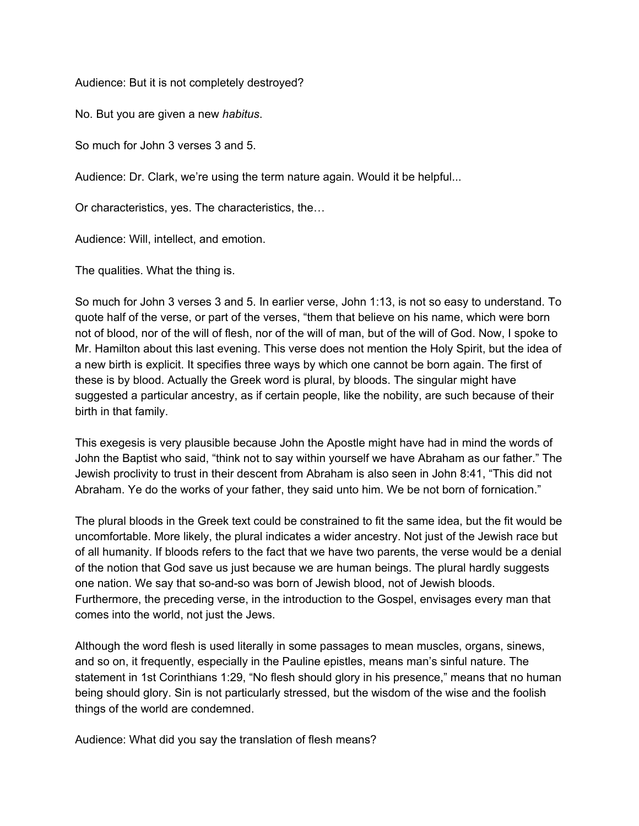Audience: But it is not completely destroyed?

No. But you are given a new *habitus*.

So much for John 3 verses 3 and 5.

Audience: Dr. Clark, we're using the term nature again. Would it be helpful...

Or characteristics, yes. The characteristics, the…

Audience: Will, intellect, and emotion.

The qualities. What the thing is.

So much for John 3 verses 3 and 5. In earlier verse, John 1:13, is not so easy to understand. To quote half of the verse, or part of the verses, "them that believe on his name, which were born not of blood, nor of the will of flesh, nor of the will of man, but of the will of God. Now, I spoke to Mr. Hamilton about this last evening. This verse does not mention the Holy Spirit, but the idea of a new birth is explicit. It specifies three ways by which one cannot be born again. The first of these is by blood. Actually the Greek word is plural, by bloods. The singular might have suggested a particular ancestry, as if certain people, like the nobility, are such because of their birth in that family.

This exegesis is very plausible because John the Apostle might have had in mind the words of John the Baptist who said, "think not to say within yourself we have Abraham as our father." The Jewish proclivity to trust in their descent from Abraham is also seen in John 8:41, "This did not Abraham. Ye do the works of your father, they said unto him. We be not born of fornication."

The plural bloods in the Greek text could be constrained to fit the same idea, but the fit would be uncomfortable. More likely, the plural indicates a wider ancestry. Not just of the Jewish race but of all humanity. If bloods refers to the fact that we have two parents, the verse would be a denial of the notion that God save us just because we are human beings. The plural hardly suggests one nation. We say that so-and-so was born of Jewish blood, not of Jewish bloods. Furthermore, the preceding verse, in the introduction to the Gospel, envisages every man that comes into the world, not just the Jews.

Although the word flesh is used literally in some passages to mean muscles, organs, sinews, and so on, it frequently, especially in the Pauline epistles, means man's sinful nature. The statement in 1st Corinthians 1:29, "No flesh should glory in his presence," means that no human being should glory. Sin is not particularly stressed, but the wisdom of the wise and the foolish things of the world are condemned.

Audience: What did you say the translation of flesh means?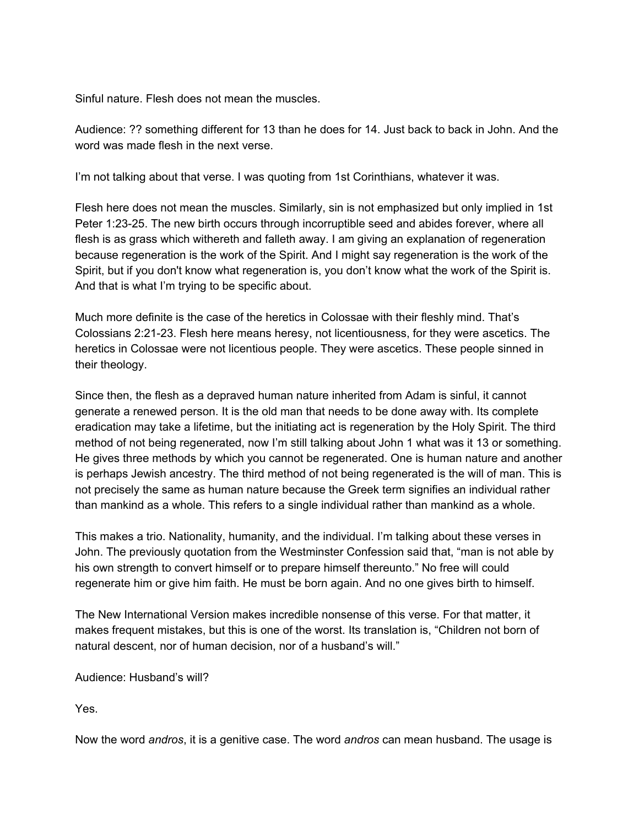Sinful nature. Flesh does not mean the muscles.

Audience: ?? something different for 13 than he does for 14. Just back to back in John. And the word was made flesh in the next verse.

I'm not talking about that verse. I was quoting from 1st Corinthians, whatever it was.

Flesh here does not mean the muscles. Similarly, sin is not emphasized but only implied in 1st Peter 1:23-25. The new birth occurs through incorruptible seed and abides forever, where all flesh is as grass which withereth and falleth away. I am giving an explanation of regeneration because regeneration is the work of the Spirit. And I might say regeneration is the work of the Spirit, but if you don't know what regeneration is, you don't know what the work of the Spirit is. And that is what I'm trying to be specific about.

Much more definite is the case of the heretics in Colossae with their fleshly mind. That's Colossians 2:2123. Flesh here means heresy, not licentiousness, for they were ascetics. The heretics in Colossae were not licentious people. They were ascetics. These people sinned in their theology.

Since then, the flesh as a depraved human nature inherited from Adam is sinful, it cannot generate a renewed person. It is the old man that needs to be done away with. Its complete eradication may take a lifetime, but the initiating act is regeneration by the Holy Spirit. The third method of not being regenerated, now I'm still talking about John 1 what was it 13 or something. He gives three methods by which you cannot be regenerated. One is human nature and another is perhaps Jewish ancestry. The third method of not being regenerated is the will of man. This is not precisely the same as human nature because the Greek term signifies an individual rather than mankind as a whole. This refers to a single individual rather than mankind as a whole.

This makes a trio. Nationality, humanity, and the individual. I'm talking about these verses in John. The previously quotation from the Westminster Confession said that, "man is not able by his own strength to convert himself or to prepare himself thereunto." No free will could regenerate him or give him faith. He must be born again. And no one gives birth to himself.

The New International Version makes incredible nonsense of this verse. For that matter, it makes frequent mistakes, but this is one of the worst. Its translation is, "Children not born of natural descent, nor of human decision, nor of a husband's will."

Audience: Husband's will?

Yes.

Now the word *andros*, it is a genitive case. The word *andros* can mean husband. The usage is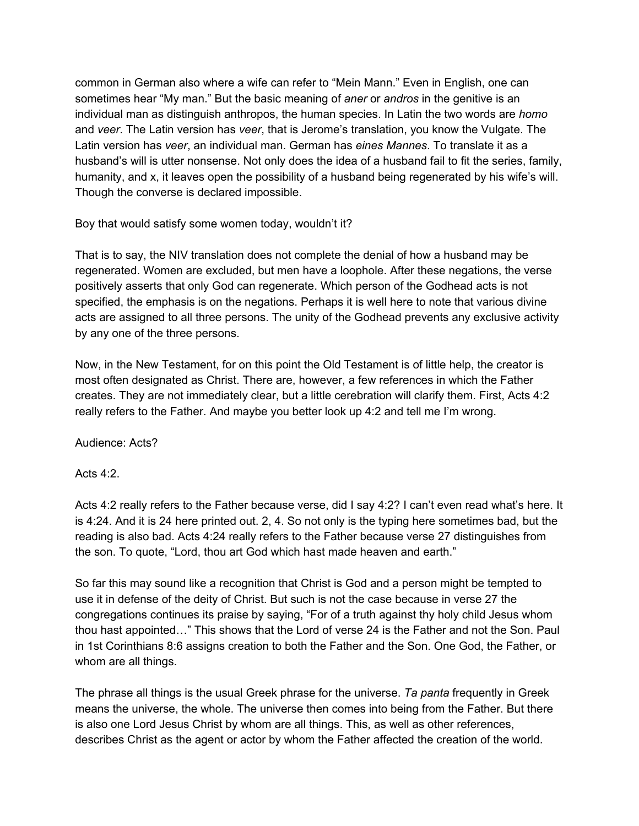common in German also where a wife can refer to "Mein Mann." Even in English, one can sometimes hear "My man." But the basic meaning of *aner* or *andros* in the genitive is an individual man as distinguish anthropos, the human species. In Latin the two words are *homo* and *veer*. The Latin version has *veer*, that is Jerome's translation, you know the Vulgate. The Latin version has *veer*, an individual man. German has *eines Mannes*. To translate it as a husband's will is utter nonsense. Not only does the idea of a husband fail to fit the series, family, humanity, and x, it leaves open the possibility of a husband being regenerated by his wife's will. Though the converse is declared impossible.

Boy that would satisfy some women today, wouldn't it?

That is to say, the NIV translation does not complete the denial of how a husband may be regenerated. Women are excluded, but men have a loophole. After these negations, the verse positively asserts that only God can regenerate. Which person of the Godhead acts is not specified, the emphasis is on the negations. Perhaps it is well here to note that various divine acts are assigned to all three persons. The unity of the Godhead prevents any exclusive activity by any one of the three persons.

Now, in the New Testament, for on this point the Old Testament is of little help, the creator is most often designated as Christ. There are, however, a few references in which the Father creates. They are not immediately clear, but a little cerebration will clarify them. First, Acts 4:2 really refers to the Father. And maybe you better look up 4:2 and tell me I'm wrong.

Audience: Acts?

Acts  $4:2$ .

Acts 4:2 really refers to the Father because verse, did I say 4:2? I can't even read what's here. It is 4:24. And it is 24 here printed out. 2, 4. So not only is the typing here sometimes bad, but the reading is also bad. Acts 4:24 really refers to the Father because verse 27 distinguishes from the son. To quote, "Lord, thou art God which hast made heaven and earth."

So far this may sound like a recognition that Christ is God and a person might be tempted to use it in defense of the deity of Christ. But such is not the case because in verse 27 the congregations continues its praise by saying, "For of a truth against thy holy child Jesus whom thou hast appointed…" This shows that the Lord of verse 24 is the Father and not the Son. Paul in 1st Corinthians 8:6 assigns creation to both the Father and the Son. One God, the Father, or whom are all things.

The phrase all things is the usual Greek phrase for the universe. *Ta panta* frequently in Greek means the universe, the whole. The universe then comes into being from the Father. But there is also one Lord Jesus Christ by whom are all things. This, as well as other references, describes Christ as the agent or actor by whom the Father affected the creation of the world.